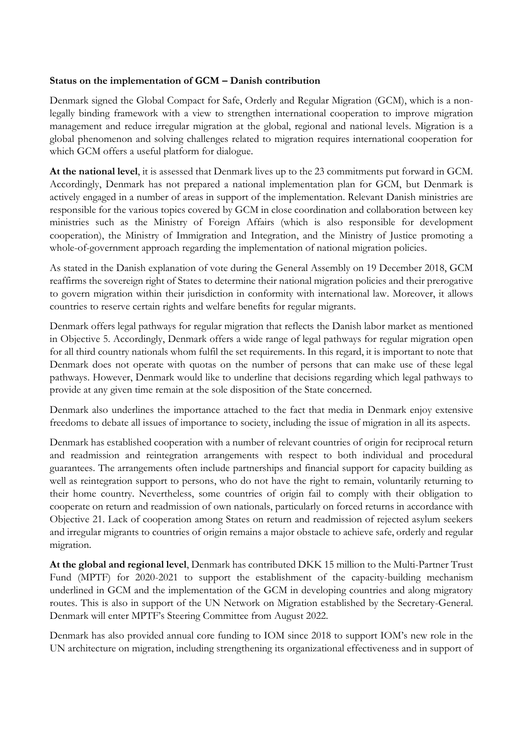## **Status on the implementation of GCM – Danish contribution**

Denmark signed the Global Compact for Safe, Orderly and Regular Migration (GCM), which is a nonlegally binding framework with a view to strengthen international cooperation to improve migration management and reduce irregular migration at the global, regional and national levels. Migration is a global phenomenon and solving challenges related to migration requires international cooperation for which GCM offers a useful platform for dialogue.

**At the national level**, it is assessed that Denmark lives up to the 23 commitments put forward in GCM. Accordingly, Denmark has not prepared a national implementation plan for GCM, but Denmark is actively engaged in a number of areas in support of the implementation. Relevant Danish ministries are responsible for the various topics covered by GCM in close coordination and collaboration between key ministries such as the Ministry of Foreign Affairs (which is also responsible for development cooperation), the Ministry of Immigration and Integration, and the Ministry of Justice promoting a whole-of-government approach regarding the implementation of national migration policies.

As stated in the Danish explanation of vote during the General Assembly on 19 December 2018, GCM reaffirms the sovereign right of States to determine their national migration policies and their prerogative to govern migration within their jurisdiction in conformity with international law. Moreover, it allows countries to reserve certain rights and welfare benefits for regular migrants.

Denmark offers legal pathways for regular migration that reflects the Danish labor market as mentioned in Objective 5. Accordingly, Denmark offers a wide range of legal pathways for regular migration open for all third country nationals whom fulfil the set requirements. In this regard, it is important to note that Denmark does not operate with quotas on the number of persons that can make use of these legal pathways. However, Denmark would like to underline that decisions regarding which legal pathways to provide at any given time remain at the sole disposition of the State concerned.

Denmark also underlines the importance attached to the fact that media in Denmark enjoy extensive freedoms to debate all issues of importance to society, including the issue of migration in all its aspects.

Denmark has established cooperation with a number of relevant countries of origin for reciprocal return and readmission and reintegration arrangements with respect to both individual and procedural guarantees. The arrangements often include partnerships and financial support for capacity building as well as reintegration support to persons, who do not have the right to remain, voluntarily returning to their home country. Nevertheless, some countries of origin fail to comply with their obligation to cooperate on return and readmission of own nationals, particularly on forced returns in accordance with Objective 21. Lack of cooperation among States on return and readmission of rejected asylum seekers and irregular migrants to countries of origin remains a major obstacle to achieve safe, orderly and regular migration.

**At the global and regional level**, Denmark has contributed DKK 15 million to the Multi-Partner Trust Fund (MPTF) for 2020-2021 to support the establishment of the capacity-building mechanism underlined in GCM and the implementation of the GCM in developing countries and along migratory routes. This is also in support of the UN Network on Migration established by the Secretary-General. Denmark will enter MPTF's Steering Committee from August 2022.

Denmark has also provided annual core funding to IOM since 2018 to support IOM's new role in the UN architecture on migration, including strengthening its organizational effectiveness and in support of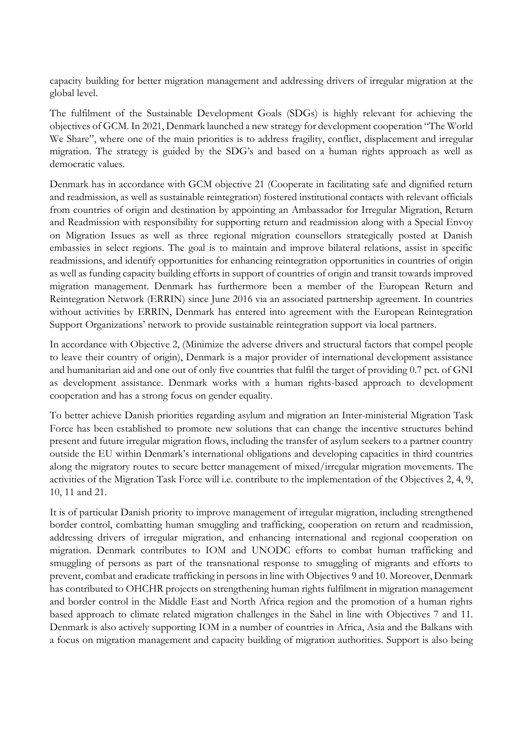capacity building for better migration management and addressing drivers of irregular migration at the global level.

The fulfilment of the Sustainable Development Goals (SDGs) is highly relevant for achieving the objectives of GCM. In 2021, Denmark launched a new strategy for development cooperation "The World We Share", where one of the main priorities is to address fragility, conflict, displacement and irregular migration. The strategy is guided by the SDG's and based on a human rights approach as well as democratic values.

Denmark has in accordance with GCM objective 21 (Cooperate in facilitating safe and dignified return and readmission, as well as sustainable reintegration) fostered institutional contacts with relevant officials from countries of origin and destination by appointing an Ambassador for Irregular Migration, Return and Readmission with responsibility for supporting return and readmission along with a Special Envoy on Migration Issues as well as three regional migration counsellors strategically posted at Danish embassies in select regions. The goal is to maintain and improve bilateral relations, assist in specific readmissions, and identify opportunities for enhancing reintegration opportunities in countries of origin as well as funding capacity building efforts in support of countries of origin and transit towards improved migration management. Denmark has furthermore been a member of the European Return and Reintegration Network (ERRIN) since June 2016 via an associated partnership agreement. In countries without activities by ERRIN, Denmark has entered into agreement with the European Reintegration Support Organizations' network to provide sustainable reintegration support via local partners.

In accordance with Objective 2, (Minimize the adverse drivers and structural factors that compel people to leave their country of origin), Denmark is a major provider of international development assistance and humanitarian aid and one out of only five countries that fulfil the target of providing 0.7 pct. of GNI as development assistance. Denmark works with a human rights-based approach to development cooperation and has a strong focus on gender equality.

To better achieve Danish priorities regarding asylum and migration an Inter-ministerial Migration Task Force has been established to promote new solutions that can change the incentive structures behind present and future irregular migration flows, including the transfer of asylum seekers to a partner country outside the EU within Denmark's international obligations and developing capacities in third countries along the migratory routes to secure better management of mixed/irregular migration movements. The activities of the Migration Task Force will i.e. contribute to the implementation of the Objectives 2, 4, 9, 10, 11 and 21.

It is of particular Danish priority to improve management of irregular migration, including strengthened border control, combatting human smuggling and trafficking, cooperation on return and readmission, addressing drivers of irregular migration, and enhancing international and regional cooperation on migration. Denmark contributes to IOM and UNODC efforts to combat human trafficking and smuggling of persons as part of the transnational response to smuggling of migrants and efforts to prevent, combat and eradicate trafficking in persons in line with Objectives 9 and 10. Moreover, Denmark has contributed to OHCHR projects on strengthening human rights fulfilment in migration management and border control in the Middle East and North Africa region and the promotion of a human rights based approach to climate related migration challenges in the Sahel in line with Objectives 7 and 11. Denmark is also actively supporting IOM in a number of countries in Africa, Asia and the Balkans with a focus on migration management and capacity building of migration authorities. Support is also being